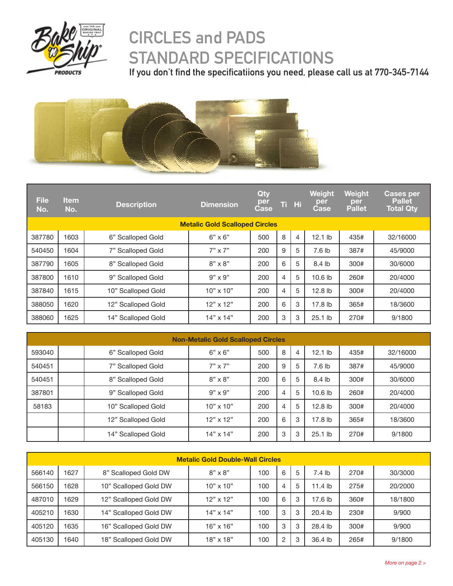

## **CIRCLES and PADS STANDARD SPECIFICATIONS**

**If you don't find the specificatiions you need, please call us at 770-345-7144**



| <b>File</b><br>No. | <b>Item</b><br>No. | <b>Description</b> | <b>Dimension</b>                      | Qty<br>per<br><b>Case</b> |   | Ti Hi | Weight<br>per<br><b>Case</b> | <b>Weight</b><br>per<br><b>Pallet</b> | <b>Cases per</b><br><b>Pallet</b><br><b>Total Qty</b> |
|--------------------|--------------------|--------------------|---------------------------------------|---------------------------|---|-------|------------------------------|---------------------------------------|-------------------------------------------------------|
|                    |                    |                    | <b>Metalic Gold Scalloped Circles</b> |                           |   |       |                              |                                       |                                                       |
| 387780             | 1603               | 6" Scalloped Gold  | $6" \times 6"$                        | 500                       | 8 | 4     | $12.1$ lb                    | 435#                                  | 32/16000                                              |
| 540450             | 1604               | 7" Scalloped Gold  | $7" \times 7"$                        | 200                       | 9 | 5     | 7.6 lb                       | 387#                                  | 45/9000                                               |
| 387790             | 1605               | 8" Scalloped Gold  | $8" \times 8"$                        | 200                       | 6 | 5     | 8.4 lb                       | 300#                                  | 30/6000                                               |
| 387800             | 1610               | 9" Scalloped Gold  | $9" \times 9"$                        | 200                       | 4 | 5     | 10.6 <sub>lb</sub>           | 260#                                  | 20/4000                                               |
| 387840             | 1615               | 10" Scalloped Gold | $10" \times 10"$                      | 200                       | 4 | 5     | 12.8 lb                      | 300#                                  | 20/4000                                               |
| 388050             | 1620               | 12" Scalloped Gold | $12" \times 12"$                      | 200                       | 6 | 3     | 17.8 lb                      | 365#                                  | 18/3600                                               |
| 388060             | 1625               | 14" Scalloped Gold | $14" \times 14"$                      | 200                       | 3 | 3     | $25.1$ lb                    | 270#                                  | 9/1800                                                |

| <b>Non-Metalic Gold Scalloped Circles</b> |                    |                  |     |   |   |                    |      |          |  |  |
|-------------------------------------------|--------------------|------------------|-----|---|---|--------------------|------|----------|--|--|
| 593040                                    | 6" Scalloped Gold  | $6" \times 6"$   | 500 | 8 | 4 | $12.1$ lb          | 435# | 32/16000 |  |  |
| 540451                                    | 7" Scalloped Gold  | $7" \times 7"$   | 200 | 9 | 5 | 7.6 <sub>1b</sub>  | 387# | 45/9000  |  |  |
| 540451                                    | 8" Scalloped Gold  | $8" \times 8"$   | 200 | 6 | 5 | 8.4 lb             | 300# | 30/6000  |  |  |
| 387801                                    | 9" Scalloped Gold  | $9" \times 9"$   | 200 | 4 | 5 | 10.6 <sub>lb</sub> | 260# | 20/4000  |  |  |
| 58183                                     | 10" Scalloped Gold | $10" \times 10"$ | 200 | 4 | 5 | 12.8 <sub>lb</sub> | 300# | 20/4000  |  |  |
|                                           | 12" Scalloped Gold | $12" \times 12"$ | 200 | 6 | 3 | 17.8 lb            | 365# | 18/3600  |  |  |
|                                           | 14" Scalloped Gold | $14" \times 14"$ | 200 | 3 | 3 | $25.1$ lb          | 270# | 9/1800   |  |  |

| <b>Metalic Gold Double-Wall Circles</b> |      |                       |                  |     |                |   |           |      |         |  |
|-----------------------------------------|------|-----------------------|------------------|-----|----------------|---|-----------|------|---------|--|
| 566140                                  | 1627 | 8" Scalloped Gold DW  | $8" \times 8"$   | 100 | 6              | 5 | $7.4$ lb  | 270# | 30/3000 |  |
| 566150                                  | 1628 | 10" Scalloped Gold DW | $10" \times 10"$ | 100 | 4              | 5 | $11.4$ lb | 275# | 20/2000 |  |
| 487010                                  | 1629 | 12" Scalloped Gold DW | $12"$ x $12"$    | 100 | 6              | 3 | 17.6 lb   | 360# | 18/1800 |  |
| 405210                                  | 1630 | 14" Scalloped Gold DW | $14" \times 14"$ | 100 | 3              | 3 | $20.4$ lb | 230# | 9/900   |  |
| 405120                                  | 1635 | 16" Scalloped Gold DW | $16" \times 16"$ | 100 | 3              | 3 | 28.4 lb   | 300# | 9/900   |  |
| 405130                                  | 640  | 18" Scalloped Gold DW | $18" \times 18"$ | 100 | $\overline{c}$ | 3 | 36.4 lb   | 265# | 9/1800  |  |